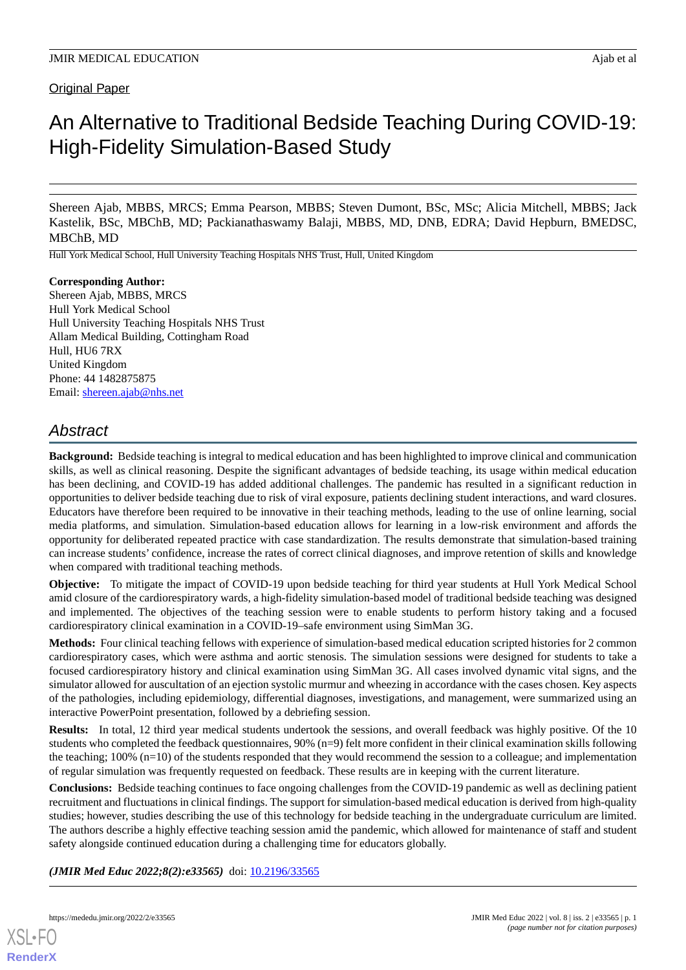## Original Paper

# An Alternative to Traditional Bedside Teaching During COVID-19: High-Fidelity Simulation-Based Study

Shereen Ajab, MBBS, MRCS; Emma Pearson, MBBS; Steven Dumont, BSc, MSc; Alicia Mitchell, MBBS; Jack Kastelik, BSc, MBChB, MD; Packianathaswamy Balaji, MBBS, MD, DNB, EDRA; David Hepburn, BMEDSC, MBChB, MD

Hull York Medical School, Hull University Teaching Hospitals NHS Trust, Hull, United Kingdom

## **Corresponding Author:**

Shereen Ajab, MBBS, MRCS Hull York Medical School Hull University Teaching Hospitals NHS Trust Allam Medical Building, Cottingham Road Hull, HU6 7RX United Kingdom Phone: 44 1482875875 Email: [shereen.ajab@nhs.net](mailto:shereen.ajab@nhs.net)

## *Abstract*

**Background:** Bedside teaching is integral to medical education and has been highlighted to improve clinical and communication skills, as well as clinical reasoning. Despite the significant advantages of bedside teaching, its usage within medical education has been declining, and COVID-19 has added additional challenges. The pandemic has resulted in a significant reduction in opportunities to deliver bedside teaching due to risk of viral exposure, patients declining student interactions, and ward closures. Educators have therefore been required to be innovative in their teaching methods, leading to the use of online learning, social media platforms, and simulation. Simulation-based education allows for learning in a low-risk environment and affords the opportunity for deliberated repeated practice with case standardization. The results demonstrate that simulation-based training can increase students' confidence, increase the rates of correct clinical diagnoses, and improve retention of skills and knowledge when compared with traditional teaching methods.

**Objective:** To mitigate the impact of COVID-19 upon bedside teaching for third year students at Hull York Medical School amid closure of the cardiorespiratory wards, a high-fidelity simulation-based model of traditional bedside teaching was designed and implemented. The objectives of the teaching session were to enable students to perform history taking and a focused cardiorespiratory clinical examination in a COVID-19–safe environment using SimMan 3G.

**Methods:** Four clinical teaching fellows with experience of simulation-based medical education scripted histories for 2 common cardiorespiratory cases, which were asthma and aortic stenosis. The simulation sessions were designed for students to take a focused cardiorespiratory history and clinical examination using SimMan 3G. All cases involved dynamic vital signs, and the simulator allowed for auscultation of an ejection systolic murmur and wheezing in accordance with the cases chosen. Key aspects of the pathologies, including epidemiology, differential diagnoses, investigations, and management, were summarized using an interactive PowerPoint presentation, followed by a debriefing session.

**Results:** In total, 12 third year medical students undertook the sessions, and overall feedback was highly positive. Of the 10 students who completed the feedback questionnaires, 90% (n=9) felt more confident in their clinical examination skills following the teaching; 100% (n=10) of the students responded that they would recommend the session to a colleague; and implementation of regular simulation was frequently requested on feedback. These results are in keeping with the current literature.

**Conclusions:** Bedside teaching continues to face ongoing challenges from the COVID-19 pandemic as well as declining patient recruitment and fluctuations in clinical findings. The support for simulation-based medical education is derived from high-quality studies; however, studies describing the use of this technology for bedside teaching in the undergraduate curriculum are limited. The authors describe a highly effective teaching session amid the pandemic, which allowed for maintenance of staff and student safety alongside continued education during a challenging time for educators globally.

*(JMIR Med Educ 2022;8(2):e33565)* doi: [10.2196/33565](http://dx.doi.org/10.2196/33565)

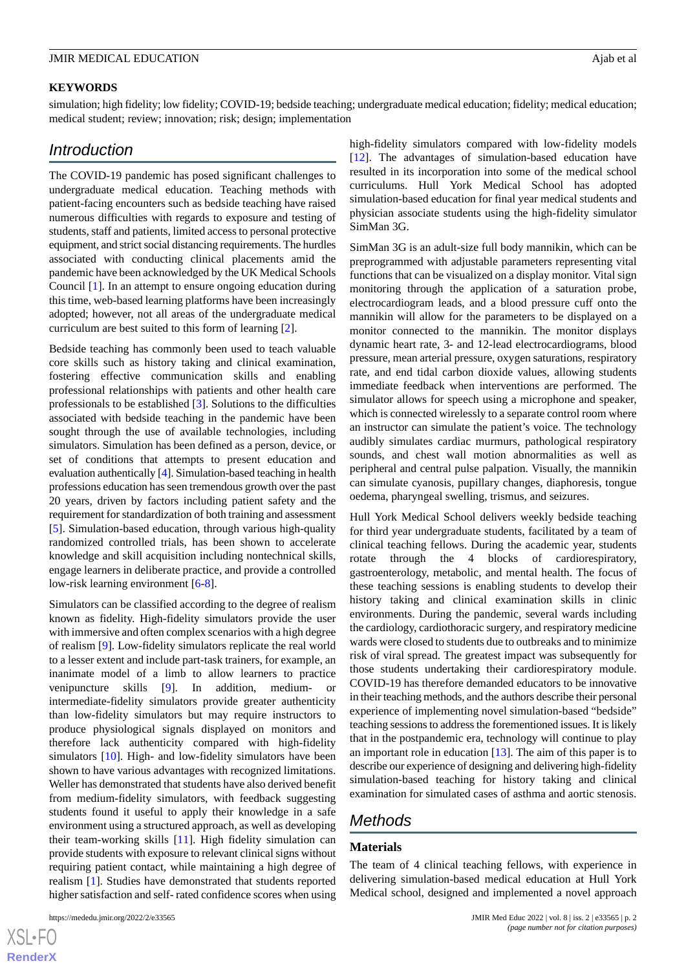### **KEYWORDS**

simulation; high fidelity; low fidelity; COVID-19; bedside teaching; undergraduate medical education; fidelity; medical education; medical student; review; innovation; risk; design; implementation

## *Introduction*

The COVID-19 pandemic has posed significant challenges to undergraduate medical education. Teaching methods with patient-facing encounters such as bedside teaching have raised numerous difficulties with regards to exposure and testing of students, staff and patients, limited access to personal protective equipment, and strict social distancing requirements. The hurdles associated with conducting clinical placements amid the pandemic have been acknowledged by the UK Medical Schools Council [\[1](#page-5-0)]. In an attempt to ensure ongoing education during this time, web-based learning platforms have been increasingly adopted; however, not all areas of the undergraduate medical curriculum are best suited to this form of learning [\[2](#page-5-1)].

Bedside teaching has commonly been used to teach valuable core skills such as history taking and clinical examination, fostering effective communication skills and enabling professional relationships with patients and other health care professionals to be established [\[3](#page-5-2)]. Solutions to the difficulties associated with bedside teaching in the pandemic have been sought through the use of available technologies, including simulators. Simulation has been defined as a person, device, or set of conditions that attempts to present education and evaluation authentically [\[4](#page-5-3)]. Simulation-based teaching in health professions education has seen tremendous growth over the past 20 years, driven by factors including patient safety and the requirement for standardization of both training and assessment [[5\]](#page-5-4). Simulation-based education, through various high-quality randomized controlled trials, has been shown to accelerate knowledge and skill acquisition including nontechnical skills, engage learners in deliberate practice, and provide a controlled low-risk learning environment [\[6](#page-5-5)-[8\]](#page-5-6).

Simulators can be classified according to the degree of realism known as fidelity. High-fidelity simulators provide the user with immersive and often complex scenarios with a high degree of realism [[9\]](#page-5-7). Low-fidelity simulators replicate the real world to a lesser extent and include part-task trainers, for example, an inanimate model of a limb to allow learners to practice venipuncture skills [[9\]](#page-5-7). In addition, medium- or intermediate-fidelity simulators provide greater authenticity than low-fidelity simulators but may require instructors to produce physiological signals displayed on monitors and therefore lack authenticity compared with high-fidelity simulators [\[10](#page-5-8)]. High- and low-fidelity simulators have been shown to have various advantages with recognized limitations. Weller has demonstrated that students have also derived benefit from medium-fidelity simulators, with feedback suggesting students found it useful to apply their knowledge in a safe environment using a structured approach, as well as developing their team-working skills [\[11](#page-5-9)]. High fidelity simulation can provide students with exposure to relevant clinical signs without requiring patient contact, while maintaining a high degree of realism [\[1\]](#page-5-0). Studies have demonstrated that students reported higher satisfaction and self- rated confidence scores when using

high-fidelity simulators compared with low-fidelity models [[12\]](#page-5-10). The advantages of simulation-based education have resulted in its incorporation into some of the medical school curriculums. Hull York Medical School has adopted simulation-based education for final year medical students and physician associate students using the high-fidelity simulator SimMan 3G.

SimMan 3G is an adult-size full body mannikin, which can be preprogrammed with adjustable parameters representing vital functions that can be visualized on a display monitor. Vital sign monitoring through the application of a saturation probe, electrocardiogram leads, and a blood pressure cuff onto the mannikin will allow for the parameters to be displayed on a monitor connected to the mannikin. The monitor displays dynamic heart rate, 3- and 12-lead electrocardiograms, blood pressure, mean arterial pressure, oxygen saturations, respiratory rate, and end tidal carbon dioxide values, allowing students immediate feedback when interventions are performed. The simulator allows for speech using a microphone and speaker, which is connected wirelessly to a separate control room where an instructor can simulate the patient's voice. The technology audibly simulates cardiac murmurs, pathological respiratory sounds, and chest wall motion abnormalities as well as peripheral and central pulse palpation. Visually, the mannikin can simulate cyanosis, pupillary changes, diaphoresis, tongue oedema, pharyngeal swelling, trismus, and seizures.

Hull York Medical School delivers weekly bedside teaching for third year undergraduate students, facilitated by a team of clinical teaching fellows. During the academic year, students rotate through the 4 blocks of cardiorespiratory, gastroenterology, metabolic, and mental health. The focus of these teaching sessions is enabling students to develop their history taking and clinical examination skills in clinic environments. During the pandemic, several wards including the cardiology, cardiothoracic surgery, and respiratory medicine wards were closed to students due to outbreaks and to minimize risk of viral spread. The greatest impact was subsequently for those students undertaking their cardiorespiratory module. COVID-19 has therefore demanded educators to be innovative in their teaching methods, and the authors describe their personal experience of implementing novel simulation-based "bedside" teaching sessions to address the forementioned issues. It is likely that in the postpandemic era, technology will continue to play an important role in education  $[13]$  $[13]$ . The aim of this paper is to describe our experience of designing and delivering high-fidelity simulation-based teaching for history taking and clinical examination for simulated cases of asthma and aortic stenosis.

## *Methods*

## **Materials**

The team of 4 clinical teaching fellows, with experience in delivering simulation-based medical education at Hull York Medical school, designed and implemented a novel approach

 $XS$ -FO **[RenderX](http://www.renderx.com/)**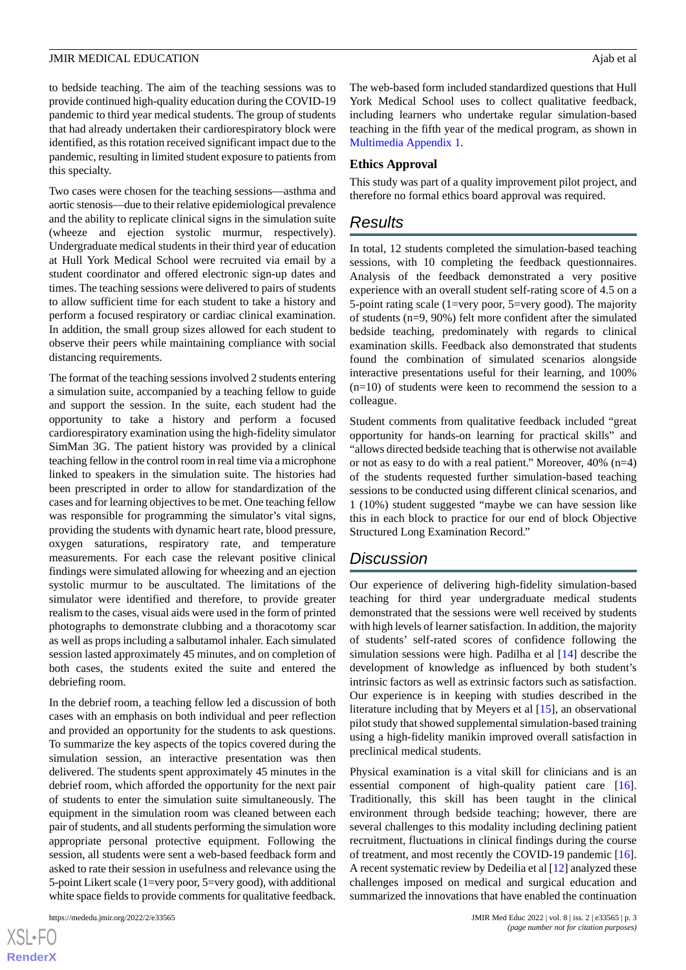to bedside teaching. The aim of the teaching sessions was to provide continued high-quality education during the COVID-19 pandemic to third year medical students. The group of students that had already undertaken their cardiorespiratory block were identified, as this rotation received significant impact due to the pandemic, resulting in limited student exposure to patients from this specialty.

Two cases were chosen for the teaching sessions—asthma and aortic stenosis—due to their relative epidemiological prevalence and the ability to replicate clinical signs in the simulation suite (wheeze and ejection systolic murmur, respectively). Undergraduate medical students in their third year of education at Hull York Medical School were recruited via email by a student coordinator and offered electronic sign-up dates and times. The teaching sessions were delivered to pairs of students to allow sufficient time for each student to take a history and perform a focused respiratory or cardiac clinical examination. In addition, the small group sizes allowed for each student to observe their peers while maintaining compliance with social distancing requirements.

The format of the teaching sessions involved 2 students entering a simulation suite, accompanied by a teaching fellow to guide and support the session. In the suite, each student had the opportunity to take a history and perform a focused cardiorespiratory examination using the high-fidelity simulator SimMan 3G. The patient history was provided by a clinical teaching fellow in the control room in real time via a microphone linked to speakers in the simulation suite. The histories had been prescripted in order to allow for standardization of the cases and for learning objectives to be met. One teaching fellow was responsible for programming the simulator's vital signs, providing the students with dynamic heart rate, blood pressure, oxygen saturations, respiratory rate, and temperature measurements. For each case the relevant positive clinical findings were simulated allowing for wheezing and an ejection systolic murmur to be auscultated. The limitations of the simulator were identified and therefore, to provide greater realism to the cases, visual aids were used in the form of printed photographs to demonstrate clubbing and a thoracotomy scar as well as props including a salbutamol inhaler. Each simulated session lasted approximately 45 minutes, and on completion of both cases, the students exited the suite and entered the debriefing room.

In the debrief room, a teaching fellow led a discussion of both cases with an emphasis on both individual and peer reflection and provided an opportunity for the students to ask questions. To summarize the key aspects of the topics covered during the simulation session, an interactive presentation was then delivered. The students spent approximately 45 minutes in the debrief room, which afforded the opportunity for the next pair of students to enter the simulation suite simultaneously. The equipment in the simulation room was cleaned between each pair of students, and all students performing the simulation wore appropriate personal protective equipment. Following the session, all students were sent a web-based feedback form and asked to rate their session in usefulness and relevance using the 5-point Likert scale (1=very poor, 5=very good), with additional white space fields to provide comments for qualitative feedback.

 $XS$ -FO **[RenderX](http://www.renderx.com/)** The web-based form included standardized questions that Hull York Medical School uses to collect qualitative feedback, including learners who undertake regular simulation-based teaching in the fifth year of the medical program, as shown in [Multimedia Appendix 1.](#page-4-0)

#### **Ethics Approval**

This study was part of a quality improvement pilot project, and therefore no formal ethics board approval was required.

## *Results*

In total, 12 students completed the simulation-based teaching sessions, with 10 completing the feedback questionnaires. Analysis of the feedback demonstrated a very positive experience with an overall student self-rating score of 4.5 on a 5-point rating scale (1=very poor, 5=very good). The majority of students (n=9, 90%) felt more confident after the simulated bedside teaching, predominately with regards to clinical examination skills. Feedback also demonstrated that students found the combination of simulated scenarios alongside interactive presentations useful for their learning, and 100%  $(n=10)$  of students were keen to recommend the session to a colleague.

Student comments from qualitative feedback included "great opportunity for hands-on learning for practical skills" and "allows directed bedside teaching that is otherwise not available or not as easy to do with a real patient." Moreover, 40% (n=4) of the students requested further simulation-based teaching sessions to be conducted using different clinical scenarios, and 1 (10%) student suggested "maybe we can have session like this in each block to practice for our end of block Objective Structured Long Examination Record."

## *Discussion*

Our experience of delivering high-fidelity simulation-based teaching for third year undergraduate medical students demonstrated that the sessions were well received by students with high levels of learner satisfaction. In addition, the majority of students' self-rated scores of confidence following the simulation sessions were high. Padilha et al [[14\]](#page-5-12) describe the development of knowledge as influenced by both student's intrinsic factors as well as extrinsic factors such as satisfaction. Our experience is in keeping with studies described in the literature including that by Meyers et al [[15\]](#page-5-13), an observational pilot study that showed supplemental simulation-based training using a high-fidelity manikin improved overall satisfaction in preclinical medical students.

Physical examination is a vital skill for clinicians and is an essential component of high-quality patient care [[16\]](#page-5-14). Traditionally, this skill has been taught in the clinical environment through bedside teaching; however, there are several challenges to this modality including declining patient recruitment, fluctuations in clinical findings during the course of treatment, and most recently the COVID-19 pandemic [[16\]](#page-5-14). A recent systematic review by Dedeilia et al [\[12\]](#page-5-10) analyzed these challenges imposed on medical and surgical education and summarized the innovations that have enabled the continuation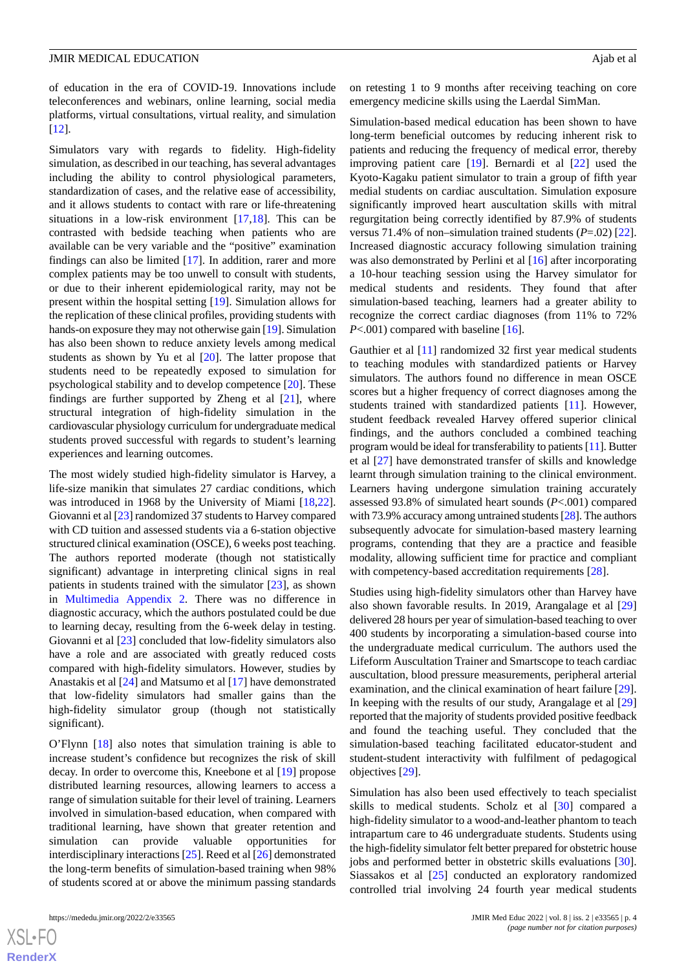of education in the era of COVID-19. Innovations include teleconferences and webinars, online learning, social media platforms, virtual consultations, virtual reality, and simulation [[12\]](#page-5-10).

Simulators vary with regards to fidelity. High-fidelity simulation, as described in our teaching, has several advantages including the ability to control physiological parameters, standardization of cases, and the relative ease of accessibility, and it allows students to contact with rare or life-threatening situations in a low-risk environment [\[17](#page-5-15),[18\]](#page-5-16). This can be contrasted with bedside teaching when patients who are available can be very variable and the "positive" examination findings can also be limited [\[17](#page-5-15)]. In addition, rarer and more complex patients may be too unwell to consult with students, or due to their inherent epidemiological rarity, may not be present within the hospital setting [[19\]](#page-5-17). Simulation allows for the replication of these clinical profiles, providing students with hands-on exposure they may not otherwise gain [\[19](#page-5-17)]. Simulation has also been shown to reduce anxiety levels among medical students as shown by Yu et al [[20\]](#page-5-18). The latter propose that students need to be repeatedly exposed to simulation for psychological stability and to develop competence [[20\]](#page-5-18). These findings are further supported by Zheng et al [\[21](#page-5-19)], where structural integration of high-fidelity simulation in the cardiovascular physiology curriculum for undergraduate medical students proved successful with regards to student's learning experiences and learning outcomes.

The most widely studied high-fidelity simulator is Harvey, a life-size manikin that simulates 27 cardiac conditions, which was introduced in 1968 by the University of Miami [\[18](#page-5-16),[22\]](#page-5-20). Giovanni et al [\[23](#page-6-0)] randomized 37 students to Harvey compared with CD tuition and assessed students via a 6-station objective structured clinical examination (OSCE), 6 weeks post teaching. The authors reported moderate (though not statistically significant) advantage in interpreting clinical signs in real patients in students trained with the simulator [\[23](#page-6-0)], as shown in [Multimedia Appendix 2](#page-4-1). There was no difference in diagnostic accuracy, which the authors postulated could be due to learning decay, resulting from the 6-week delay in testing. Giovanni et al [[23\]](#page-6-0) concluded that low-fidelity simulators also have a role and are associated with greatly reduced costs compared with high-fidelity simulators. However, studies by Anastakis et al [[24\]](#page-6-1) and Matsumo et al [\[17](#page-5-15)] have demonstrated that low-fidelity simulators had smaller gains than the high-fidelity simulator group (though not statistically significant).

O'Flynn [\[18](#page-5-16)] also notes that simulation training is able to increase student's confidence but recognizes the risk of skill decay. In order to overcome this, Kneebone et al [[19\]](#page-5-17) propose distributed learning resources, allowing learners to access a range of simulation suitable for their level of training. Learners involved in simulation-based education, when compared with traditional learning, have shown that greater retention and simulation can provide valuable opportunities for interdisciplinary interactions [\[25](#page-6-2)]. Reed et al [[26\]](#page-6-3) demonstrated the long-term benefits of simulation-based training when 98% of students scored at or above the minimum passing standards

on retesting 1 to 9 months after receiving teaching on core emergency medicine skills using the Laerdal SimMan.

Simulation-based medical education has been shown to have long-term beneficial outcomes by reducing inherent risk to patients and reducing the frequency of medical error, thereby improving patient care [\[19](#page-5-17)]. Bernardi et al [\[22](#page-5-20)] used the Kyoto-Kagaku patient simulator to train a group of fifth year medial students on cardiac auscultation. Simulation exposure significantly improved heart auscultation skills with mitral regurgitation being correctly identified by 87.9% of students versus 71.4% of non–simulation trained students (*P*=.02) [[22\]](#page-5-20). Increased diagnostic accuracy following simulation training was also demonstrated by Perlini et al [[16\]](#page-5-14) after incorporating a 10-hour teaching session using the Harvey simulator for medical students and residents. They found that after simulation-based teaching, learners had a greater ability to recognize the correct cardiac diagnoses (from 11% to 72% *P*<.001) compared with baseline [[16\]](#page-5-14).

Gauthier et al [[11\]](#page-5-9) randomized 32 first year medical students to teaching modules with standardized patients or Harvey simulators. The authors found no difference in mean OSCE scores but a higher frequency of correct diagnoses among the students trained with standardized patients [[11\]](#page-5-9). However, student feedback revealed Harvey offered superior clinical findings, and the authors concluded a combined teaching program would be ideal for transferability to patients [\[11\]](#page-5-9). Butter et al [[27\]](#page-6-4) have demonstrated transfer of skills and knowledge learnt through simulation training to the clinical environment. Learners having undergone simulation training accurately assessed 93.8% of simulated heart sounds (*P*<.001) compared with 73.9% accuracy among untrained students [[28\]](#page-6-5). The authors subsequently advocate for simulation-based mastery learning programs, contending that they are a practice and feasible modality, allowing sufficient time for practice and compliant with competency-based accreditation requirements [[28\]](#page-6-5).

Studies using high-fidelity simulators other than Harvey have also shown favorable results. In 2019, Arangalage et al [\[29](#page-6-6)] delivered 28 hours per year of simulation-based teaching to over 400 students by incorporating a simulation-based course into the undergraduate medical curriculum. The authors used the Lifeform Auscultation Trainer and Smartscope to teach cardiac auscultation, blood pressure measurements, peripheral arterial examination, and the clinical examination of heart failure [[29\]](#page-6-6). In keeping with the results of our study, Arangalage et al [\[29](#page-6-6)] reported that the majority of students provided positive feedback and found the teaching useful. They concluded that the simulation-based teaching facilitated educator-student and student-student interactivity with fulfilment of pedagogical objectives [[29\]](#page-6-6).

Simulation has also been used effectively to teach specialist skills to medical students. Scholz et al [\[30](#page-6-7)] compared a high-fidelity simulator to a wood-and-leather phantom to teach intrapartum care to 46 undergraduate students. Students using the high-fidelity simulator felt better prepared for obstetric house jobs and performed better in obstetric skills evaluations [[30\]](#page-6-7). Siassakos et al [\[25](#page-6-2)] conducted an exploratory randomized controlled trial involving 24 fourth year medical students

 $XS$ -FO **[RenderX](http://www.renderx.com/)**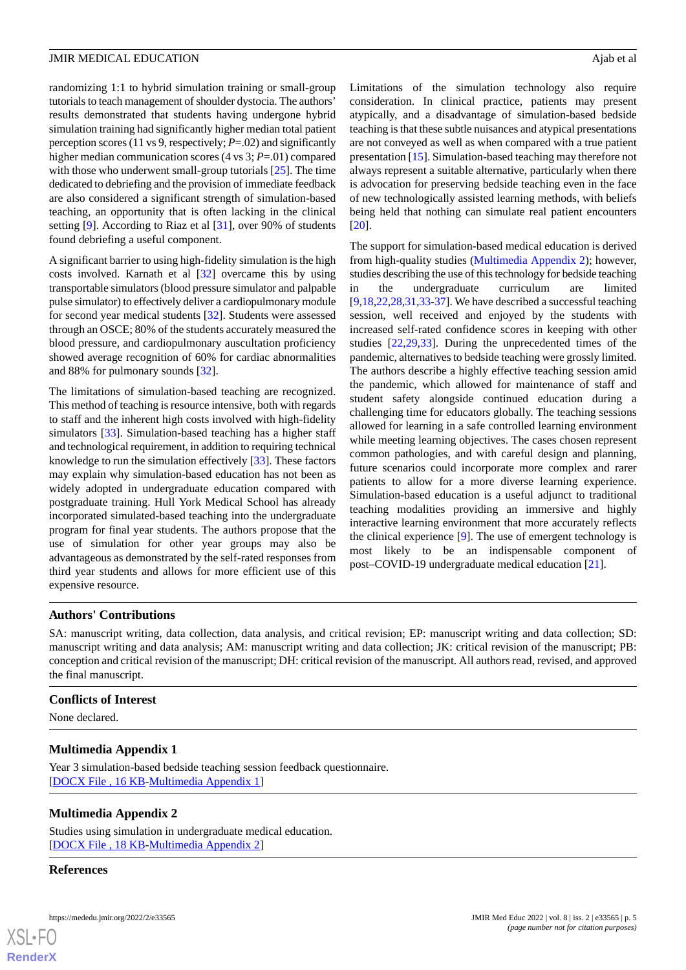randomizing 1:1 to hybrid simulation training or small-group tutorials to teach management of shoulder dystocia. The authors' results demonstrated that students having undergone hybrid simulation training had significantly higher median total patient perception scores (11 vs 9, respectively; *P*=.02) and significantly higher median communication scores (4 vs 3; *P*=.01) compared with those who underwent small-group tutorials [\[25](#page-6-2)]. The time dedicated to debriefing and the provision of immediate feedback are also considered a significant strength of simulation-based teaching, an opportunity that is often lacking in the clinical setting [\[9](#page-5-7)]. According to Riaz et al [\[31](#page-6-8)], over 90% of students found debriefing a useful component.

A significant barrier to using high-fidelity simulation is the high costs involved. Karnath et al [[32\]](#page-6-9) overcame this by using transportable simulators (blood pressure simulator and palpable pulse simulator) to effectively deliver a cardiopulmonary module for second year medical students [\[32](#page-6-9)]. Students were assessed through an OSCE; 80% of the students accurately measured the blood pressure, and cardiopulmonary auscultation proficiency showed average recognition of 60% for cardiac abnormalities and 88% for pulmonary sounds [[32\]](#page-6-9).

The limitations of simulation-based teaching are recognized. This method of teaching is resource intensive, both with regards to staff and the inherent high costs involved with high-fidelity simulators [[33\]](#page-6-10). Simulation-based teaching has a higher staff and technological requirement, in addition to requiring technical knowledge to run the simulation effectively [\[33](#page-6-10)]. These factors may explain why simulation-based education has not been as widely adopted in undergraduate education compared with postgraduate training. Hull York Medical School has already incorporated simulated-based teaching into the undergraduate program for final year students. The authors propose that the use of simulation for other year groups may also be advantageous as demonstrated by the self-rated responses from third year students and allows for more efficient use of this expensive resource.

Limitations of the simulation technology also require consideration. In clinical practice, patients may present atypically, and a disadvantage of simulation-based bedside teaching is that these subtle nuisances and atypical presentations are not conveyed as well as when compared with a true patient presentation [[15\]](#page-5-13). Simulation-based teaching may therefore not always represent a suitable alternative, particularly when there is advocation for preserving bedside teaching even in the face of new technologically assisted learning methods, with beliefs being held that nothing can simulate real patient encounters [[20\]](#page-5-18).

The support for simulation-based medical education is derived from high-quality studies [\(Multimedia Appendix 2](#page-4-1)); however, studies describing the use of this technology for bedside teaching in the undergraduate curriculum are limited [[9](#page-5-7)[,18](#page-5-16),[22,](#page-5-20)[28](#page-6-5),[31,](#page-6-8)[33](#page-6-10)[-37](#page-6-11)]. We have described a successful teaching session, well received and enjoyed by the students with increased self-rated confidence scores in keeping with other studies [[22](#page-5-20)[,29](#page-6-6),[33\]](#page-6-10). During the unprecedented times of the pandemic, alternatives to bedside teaching were grossly limited. The authors describe a highly effective teaching session amid the pandemic, which allowed for maintenance of staff and student safety alongside continued education during a challenging time for educators globally. The teaching sessions allowed for learning in a safe controlled learning environment while meeting learning objectives. The cases chosen represent common pathologies, and with careful design and planning, future scenarios could incorporate more complex and rarer patients to allow for a more diverse learning experience. Simulation-based education is a useful adjunct to traditional teaching modalities providing an immersive and highly interactive learning environment that more accurately reflects the clinical experience [\[9](#page-5-7)]. The use of emergent technology is most likely to be an indispensable component of post–COVID-19 undergraduate medical education [[21\]](#page-5-19).

## **Authors' Contributions**

SA: manuscript writing, data collection, data analysis, and critical revision; EP: manuscript writing and data collection; SD: manuscript writing and data analysis; AM: manuscript writing and data collection; JK: critical revision of the manuscript; PB: conception and critical revision of the manuscript; DH: critical revision of the manuscript. All authors read, revised, and approved the final manuscript.

## <span id="page-4-0"></span>**Conflicts of Interest**

<span id="page-4-1"></span>None declared.

## **Multimedia Appendix 1**

Year 3 simulation-based bedside teaching session feedback questionnaire. [[DOCX File , 16 KB](https://jmir.org/api/download?alt_name=mededu_v8i2e33565_app1.docx&filename=be20132cbeb3a8153e548a079dd3e1ca.docx)-[Multimedia Appendix 1\]](https://jmir.org/api/download?alt_name=mededu_v8i2e33565_app1.docx&filename=be20132cbeb3a8153e548a079dd3e1ca.docx)

## **Multimedia Appendix 2**

Studies using simulation in undergraduate medical education. [[DOCX File , 18 KB](https://jmir.org/api/download?alt_name=mededu_v8i2e33565_app2.docx&filename=45fbecdfd53ed2a848ac1561552f66c3.docx)-[Multimedia Appendix 2\]](https://jmir.org/api/download?alt_name=mededu_v8i2e33565_app2.docx&filename=45fbecdfd53ed2a848ac1561552f66c3.docx)

## **References**

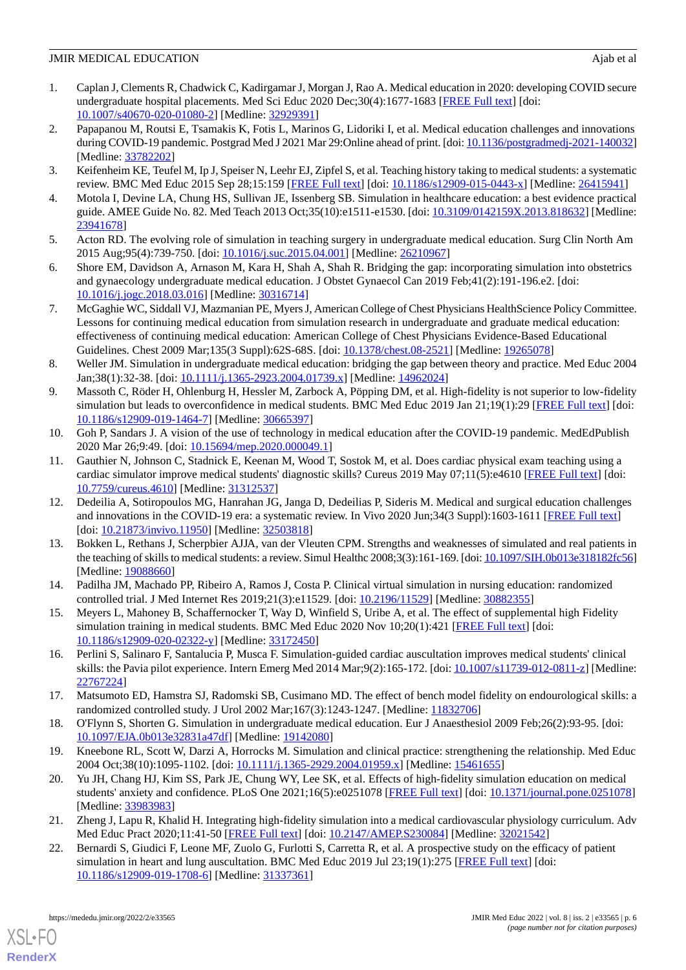- <span id="page-5-0"></span>1. Caplan J, Clements R, Chadwick C, Kadirgamar J, Morgan J, Rao A. Medical education in 2020: developing COVID secure undergraduate hospital placements. Med Sci Educ 2020 Dec;30(4):1677-1683 [\[FREE Full text\]](http://europepmc.org/abstract/MED/32929391) [doi: [10.1007/s40670-020-01080-2\]](http://dx.doi.org/10.1007/s40670-020-01080-2) [Medline: [32929391\]](http://www.ncbi.nlm.nih.gov/entrez/query.fcgi?cmd=Retrieve&db=PubMed&list_uids=32929391&dopt=Abstract)
- <span id="page-5-1"></span>2. Papapanou M, Routsi E, Tsamakis K, Fotis L, Marinos G, Lidoriki I, et al. Medical education challenges and innovations during COVID-19 pandemic. Postgrad Med J 2021 Mar 29:Online ahead of print. [doi: [10.1136/postgradmedj-2021-140032\]](http://dx.doi.org/10.1136/postgradmedj-2021-140032) [Medline: [33782202](http://www.ncbi.nlm.nih.gov/entrez/query.fcgi?cmd=Retrieve&db=PubMed&list_uids=33782202&dopt=Abstract)]
- <span id="page-5-3"></span><span id="page-5-2"></span>3. Keifenheim KE, Teufel M, Ip J, Speiser N, Leehr EJ, Zipfel S, et al. Teaching history taking to medical students: a systematic review. BMC Med Educ 2015 Sep 28;15:159 [[FREE Full text](https://bmcmededuc.biomedcentral.com/articles/10.1186/s12909-015-0443-x)] [doi: [10.1186/s12909-015-0443-x](http://dx.doi.org/10.1186/s12909-015-0443-x)] [Medline: [26415941](http://www.ncbi.nlm.nih.gov/entrez/query.fcgi?cmd=Retrieve&db=PubMed&list_uids=26415941&dopt=Abstract)]
- <span id="page-5-4"></span>4. Motola I, Devine LA, Chung HS, Sullivan JE, Issenberg SB. Simulation in healthcare education: a best evidence practical guide. AMEE Guide No. 82. Med Teach 2013 Oct;35(10):e1511-e1530. [doi: [10.3109/0142159X.2013.818632\]](http://dx.doi.org/10.3109/0142159X.2013.818632) [Medline: [23941678](http://www.ncbi.nlm.nih.gov/entrez/query.fcgi?cmd=Retrieve&db=PubMed&list_uids=23941678&dopt=Abstract)]
- <span id="page-5-5"></span>5. Acton RD. The evolving role of simulation in teaching surgery in undergraduate medical education. Surg Clin North Am 2015 Aug;95(4):739-750. [doi: [10.1016/j.suc.2015.04.001\]](http://dx.doi.org/10.1016/j.suc.2015.04.001) [Medline: [26210967](http://www.ncbi.nlm.nih.gov/entrez/query.fcgi?cmd=Retrieve&db=PubMed&list_uids=26210967&dopt=Abstract)]
- 6. Shore EM, Davidson A, Arnason M, Kara H, Shah A, Shah R. Bridging the gap: incorporating simulation into obstetrics and gynaecology undergraduate medical education. J Obstet Gynaecol Can 2019 Feb;41(2):191-196.e2. [doi: [10.1016/j.jogc.2018.03.016\]](http://dx.doi.org/10.1016/j.jogc.2018.03.016) [Medline: [30316714\]](http://www.ncbi.nlm.nih.gov/entrez/query.fcgi?cmd=Retrieve&db=PubMed&list_uids=30316714&dopt=Abstract)
- <span id="page-5-6"></span>7. McGaghie WC, Siddall VJ, Mazmanian PE, Myers J, American College of Chest Physicians HealthScience Policy Committee. Lessons for continuing medical education from simulation research in undergraduate and graduate medical education: effectiveness of continuing medical education: American College of Chest Physicians Evidence-Based Educational Guidelines. Chest 2009 Mar;135(3 Suppl):62S-68S. [doi: [10.1378/chest.08-2521\]](http://dx.doi.org/10.1378/chest.08-2521) [Medline: [19265078\]](http://www.ncbi.nlm.nih.gov/entrez/query.fcgi?cmd=Retrieve&db=PubMed&list_uids=19265078&dopt=Abstract)
- <span id="page-5-7"></span>8. Weller JM. Simulation in undergraduate medical education: bridging the gap between theory and practice. Med Educ 2004 Jan;38(1):32-38. [doi: [10.1111/j.1365-2923.2004.01739.x](http://dx.doi.org/10.1111/j.1365-2923.2004.01739.x)] [Medline: [14962024\]](http://www.ncbi.nlm.nih.gov/entrez/query.fcgi?cmd=Retrieve&db=PubMed&list_uids=14962024&dopt=Abstract)
- <span id="page-5-8"></span>9. Massoth C, Röder H, Ohlenburg H, Hessler M, Zarbock A, Pöpping DM, et al. High-fidelity is not superior to low-fidelity simulation but leads to overconfidence in medical students. BMC Med Educ 2019 Jan 21;19(1):29 [[FREE Full text\]](https://bmcmededuc.biomedcentral.com/articles/10.1186/s12909-019-1464-7) [doi: [10.1186/s12909-019-1464-7\]](http://dx.doi.org/10.1186/s12909-019-1464-7) [Medline: [30665397](http://www.ncbi.nlm.nih.gov/entrez/query.fcgi?cmd=Retrieve&db=PubMed&list_uids=30665397&dopt=Abstract)]
- <span id="page-5-9"></span>10. Goh P, Sandars J. A vision of the use of technology in medical education after the COVID-19 pandemic. MedEdPublish 2020 Mar 26;9:49. [doi: [10.15694/mep.2020.000049.1](http://dx.doi.org/10.15694/mep.2020.000049.1)]
- <span id="page-5-10"></span>11. Gauthier N, Johnson C, Stadnick E, Keenan M, Wood T, Sostok M, et al. Does cardiac physical exam teaching using a cardiac simulator improve medical students' diagnostic skills? Cureus 2019 May 07;11(5):e4610 [\[FREE Full text\]](http://europepmc.org/abstract/MED/31312537) [doi: [10.7759/cureus.4610](http://dx.doi.org/10.7759/cureus.4610)] [Medline: [31312537](http://www.ncbi.nlm.nih.gov/entrez/query.fcgi?cmd=Retrieve&db=PubMed&list_uids=31312537&dopt=Abstract)]
- <span id="page-5-11"></span>12. Dedeilia A, Sotiropoulos MG, Hanrahan JG, Janga D, Dedeilias P, Sideris M. Medical and surgical education challenges and innovations in the COVID-19 era: a systematic review. In Vivo 2020 Jun;34(3 Suppl):1603-1611 [\[FREE Full text\]](http://europepmc.org/abstract/MED/32503818) [doi: [10.21873/invivo.11950](http://dx.doi.org/10.21873/invivo.11950)] [Medline: [32503818](http://www.ncbi.nlm.nih.gov/entrez/query.fcgi?cmd=Retrieve&db=PubMed&list_uids=32503818&dopt=Abstract)]
- <span id="page-5-13"></span><span id="page-5-12"></span>13. Bokken L, Rethans J, Scherpbier AJJA, van der Vleuten CPM. Strengths and weaknesses of simulated and real patients in the teaching of skills to medical students: a review. Simul Healthc 2008;3(3):161-169. [doi: [10.1097/SIH.0b013e318182fc56\]](http://dx.doi.org/10.1097/SIH.0b013e318182fc56) [Medline: [19088660](http://www.ncbi.nlm.nih.gov/entrez/query.fcgi?cmd=Retrieve&db=PubMed&list_uids=19088660&dopt=Abstract)]
- <span id="page-5-14"></span>14. Padilha JM, Machado PP, Ribeiro A, Ramos J, Costa P. Clinical virtual simulation in nursing education: randomized controlled trial. J Med Internet Res 2019;21(3):e11529. [doi: [10.2196/11529](http://dx.doi.org/10.2196/11529)] [Medline: [30882355](http://www.ncbi.nlm.nih.gov/entrez/query.fcgi?cmd=Retrieve&db=PubMed&list_uids=30882355&dopt=Abstract)]
- <span id="page-5-15"></span>15. Meyers L, Mahoney B, Schaffernocker T, Way D, Winfield S, Uribe A, et al. The effect of supplemental high Fidelity simulation training in medical students. BMC Med Educ 2020 Nov 10;20(1):421 [[FREE Full text](https://bmcmededuc.biomedcentral.com/articles/10.1186/s12909-020-02322-y)] [doi: [10.1186/s12909-020-02322-y\]](http://dx.doi.org/10.1186/s12909-020-02322-y) [Medline: [33172450\]](http://www.ncbi.nlm.nih.gov/entrez/query.fcgi?cmd=Retrieve&db=PubMed&list_uids=33172450&dopt=Abstract)
- <span id="page-5-16"></span>16. Perlini S, Salinaro F, Santalucia P, Musca F. Simulation-guided cardiac auscultation improves medical students' clinical skills: the Pavia pilot experience. Intern Emerg Med 2014 Mar;9(2):165-172. [doi: [10.1007/s11739-012-0811-z\]](http://dx.doi.org/10.1007/s11739-012-0811-z) [Medline: [22767224](http://www.ncbi.nlm.nih.gov/entrez/query.fcgi?cmd=Retrieve&db=PubMed&list_uids=22767224&dopt=Abstract)]
- <span id="page-5-18"></span><span id="page-5-17"></span>17. Matsumoto ED, Hamstra SJ, Radomski SB, Cusimano MD. The effect of bench model fidelity on endourological skills: a randomized controlled study. J Urol 2002 Mar;167(3):1243-1247. [Medline: [11832706](http://www.ncbi.nlm.nih.gov/entrez/query.fcgi?cmd=Retrieve&db=PubMed&list_uids=11832706&dopt=Abstract)]
- 18. O'Flynn S, Shorten G. Simulation in undergraduate medical education. Eur J Anaesthesiol 2009 Feb;26(2):93-95. [doi: [10.1097/EJA.0b013e32831a47df](http://dx.doi.org/10.1097/EJA.0b013e32831a47df)] [Medline: [19142080\]](http://www.ncbi.nlm.nih.gov/entrez/query.fcgi?cmd=Retrieve&db=PubMed&list_uids=19142080&dopt=Abstract)
- <span id="page-5-20"></span><span id="page-5-19"></span>19. Kneebone RL, Scott W, Darzi A, Horrocks M. Simulation and clinical practice: strengthening the relationship. Med Educ 2004 Oct;38(10):1095-1102. [doi: [10.1111/j.1365-2929.2004.01959.x\]](http://dx.doi.org/10.1111/j.1365-2929.2004.01959.x) [Medline: [15461655\]](http://www.ncbi.nlm.nih.gov/entrez/query.fcgi?cmd=Retrieve&db=PubMed&list_uids=15461655&dopt=Abstract)
- 20. Yu JH, Chang HJ, Kim SS, Park JE, Chung WY, Lee SK, et al. Effects of high-fidelity simulation education on medical students' anxiety and confidence. PLoS One 2021;16(5):e0251078 [[FREE Full text\]](https://dx.plos.org/10.1371/journal.pone.0251078) [doi: [10.1371/journal.pone.0251078](http://dx.doi.org/10.1371/journal.pone.0251078)] [Medline: [33983983](http://www.ncbi.nlm.nih.gov/entrez/query.fcgi?cmd=Retrieve&db=PubMed&list_uids=33983983&dopt=Abstract)]
- 21. Zheng J, Lapu R, Khalid H. Integrating high-fidelity simulation into a medical cardiovascular physiology curriculum. Adv Med Educ Pract 2020;11:41-50 [\[FREE Full text\]](https://dx.doi.org/10.2147/AMEP.S230084) [doi: [10.2147/AMEP.S230084\]](http://dx.doi.org/10.2147/AMEP.S230084) [Medline: [32021542\]](http://www.ncbi.nlm.nih.gov/entrez/query.fcgi?cmd=Retrieve&db=PubMed&list_uids=32021542&dopt=Abstract)
- 22. Bernardi S, Giudici F, Leone MF, Zuolo G, Furlotti S, Carretta R, et al. A prospective study on the efficacy of patient simulation in heart and lung auscultation. BMC Med Educ 2019 Jul 23;19(1):275 [[FREE Full text](https://bmcmededuc.biomedcentral.com/articles/10.1186/s12909-019-1708-6)] [doi: [10.1186/s12909-019-1708-6\]](http://dx.doi.org/10.1186/s12909-019-1708-6) [Medline: [31337361](http://www.ncbi.nlm.nih.gov/entrez/query.fcgi?cmd=Retrieve&db=PubMed&list_uids=31337361&dopt=Abstract)]

[XSL](http://www.w3.org/Style/XSL)•FO **[RenderX](http://www.renderx.com/)**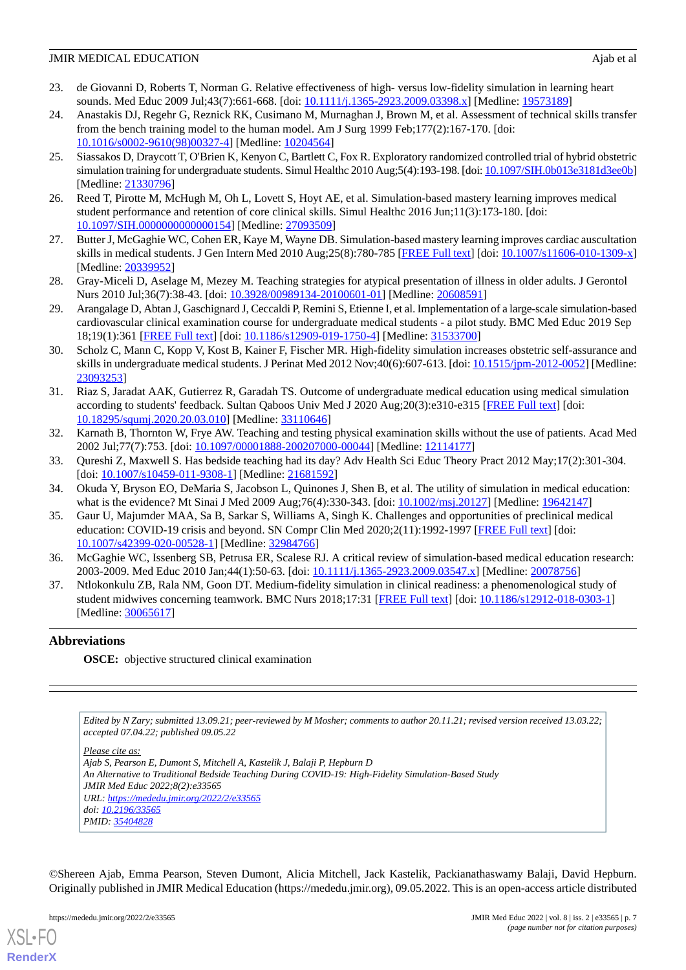- <span id="page-6-0"></span>23. de Giovanni D, Roberts T, Norman G. Relative effectiveness of high- versus low-fidelity simulation in learning heart sounds. Med Educ 2009 Jul;43(7):661-668. [doi: [10.1111/j.1365-2923.2009.03398.x\]](http://dx.doi.org/10.1111/j.1365-2923.2009.03398.x) [Medline: [19573189\]](http://www.ncbi.nlm.nih.gov/entrez/query.fcgi?cmd=Retrieve&db=PubMed&list_uids=19573189&dopt=Abstract)
- <span id="page-6-1"></span>24. Anastakis DJ, Regehr G, Reznick RK, Cusimano M, Murnaghan J, Brown M, et al. Assessment of technical skills transfer from the bench training model to the human model. Am J Surg 1999 Feb;177(2):167-170. [doi: [10.1016/s0002-9610\(98\)00327-4](http://dx.doi.org/10.1016/s0002-9610(98)00327-4)] [Medline: [10204564\]](http://www.ncbi.nlm.nih.gov/entrez/query.fcgi?cmd=Retrieve&db=PubMed&list_uids=10204564&dopt=Abstract)
- <span id="page-6-2"></span>25. Siassakos D, Draycott T, O'Brien K, Kenyon C, Bartlett C, Fox R. Exploratory randomized controlled trial of hybrid obstetric simulation training for undergraduate students. Simul Healthc 2010 Aug;5(4):193-198. [doi: [10.1097/SIH.0b013e3181d3ee0b\]](http://dx.doi.org/10.1097/SIH.0b013e3181d3ee0b) [Medline: [21330796](http://www.ncbi.nlm.nih.gov/entrez/query.fcgi?cmd=Retrieve&db=PubMed&list_uids=21330796&dopt=Abstract)]
- <span id="page-6-4"></span><span id="page-6-3"></span>26. Reed T, Pirotte M, McHugh M, Oh L, Lovett S, Hoyt AE, et al. Simulation-based mastery learning improves medical student performance and retention of core clinical skills. Simul Healthc 2016 Jun;11(3):173-180. [doi: [10.1097/SIH.0000000000000154](http://dx.doi.org/10.1097/SIH.0000000000000154)] [Medline: [27093509](http://www.ncbi.nlm.nih.gov/entrez/query.fcgi?cmd=Retrieve&db=PubMed&list_uids=27093509&dopt=Abstract)]
- <span id="page-6-5"></span>27. Butter J, McGaghie WC, Cohen ER, Kaye M, Wayne DB. Simulation-based mastery learning improves cardiac auscultation skills in medical students. J Gen Intern Med 2010 Aug;25(8):780-785 [[FREE Full text\]](http://europepmc.org/abstract/MED/20339952) [doi: [10.1007/s11606-010-1309-x](http://dx.doi.org/10.1007/s11606-010-1309-x)] [Medline: [20339952](http://www.ncbi.nlm.nih.gov/entrez/query.fcgi?cmd=Retrieve&db=PubMed&list_uids=20339952&dopt=Abstract)]
- <span id="page-6-6"></span>28. Gray-Miceli D, Aselage M, Mezey M. Teaching strategies for atypical presentation of illness in older adults. J Gerontol Nurs 2010 Jul;36(7):38-43. [doi: [10.3928/00989134-20100601-01\]](http://dx.doi.org/10.3928/00989134-20100601-01) [Medline: [20608591](http://www.ncbi.nlm.nih.gov/entrez/query.fcgi?cmd=Retrieve&db=PubMed&list_uids=20608591&dopt=Abstract)]
- <span id="page-6-7"></span>29. Arangalage D, Abtan J, Gaschignard J, Ceccaldi P, Remini S, Etienne I, et al. Implementation of a large-scale simulation-based cardiovascular clinical examination course for undergraduate medical students - a pilot study. BMC Med Educ 2019 Sep 18;19(1):361 [[FREE Full text\]](https://bmcmededuc.biomedcentral.com/articles/10.1186/s12909-019-1750-4) [doi: [10.1186/s12909-019-1750-4](http://dx.doi.org/10.1186/s12909-019-1750-4)] [Medline: [31533700](http://www.ncbi.nlm.nih.gov/entrez/query.fcgi?cmd=Retrieve&db=PubMed&list_uids=31533700&dopt=Abstract)]
- <span id="page-6-8"></span>30. Scholz C, Mann C, Kopp V, Kost B, Kainer F, Fischer MR. High-fidelity simulation increases obstetric self-assurance and skills in undergraduate medical students. J Perinat Med 2012 Nov;40(6):607-613. [doi: [10.1515/jpm-2012-0052](http://dx.doi.org/10.1515/jpm-2012-0052)] [Medline: [23093253](http://www.ncbi.nlm.nih.gov/entrez/query.fcgi?cmd=Retrieve&db=PubMed&list_uids=23093253&dopt=Abstract)]
- <span id="page-6-9"></span>31. Riaz S, Jaradat AAK, Gutierrez R, Garadah TS. Outcome of undergraduate medical education using medical simulation according to students' feedback. Sultan Qaboos Univ Med J 2020 Aug;20(3):e310-e315 [\[FREE Full text\]](http://europepmc.org/abstract/MED/33110646) [doi: [10.18295/squmj.2020.20.03.010](http://dx.doi.org/10.18295/squmj.2020.20.03.010)] [Medline: [33110646](http://www.ncbi.nlm.nih.gov/entrez/query.fcgi?cmd=Retrieve&db=PubMed&list_uids=33110646&dopt=Abstract)]
- <span id="page-6-10"></span>32. Karnath B, Thornton W, Frye AW. Teaching and testing physical examination skills without the use of patients. Acad Med 2002 Jul;77(7):753. [doi: [10.1097/00001888-200207000-00044](http://dx.doi.org/10.1097/00001888-200207000-00044)] [Medline: [12114177](http://www.ncbi.nlm.nih.gov/entrez/query.fcgi?cmd=Retrieve&db=PubMed&list_uids=12114177&dopt=Abstract)]
- 33. Qureshi Z, Maxwell S. Has bedside teaching had its day? Adv Health Sci Educ Theory Pract 2012 May;17(2):301-304. [doi: [10.1007/s10459-011-9308-1](http://dx.doi.org/10.1007/s10459-011-9308-1)] [Medline: [21681592\]](http://www.ncbi.nlm.nih.gov/entrez/query.fcgi?cmd=Retrieve&db=PubMed&list_uids=21681592&dopt=Abstract)
- 34. Okuda Y, Bryson EO, DeMaria S, Jacobson L, Quinones J, Shen B, et al. The utility of simulation in medical education: what is the evidence? Mt Sinai J Med 2009 Aug;76(4):330-343. [doi: [10.1002/msj.20127\]](http://dx.doi.org/10.1002/msj.20127) [Medline: [19642147\]](http://www.ncbi.nlm.nih.gov/entrez/query.fcgi?cmd=Retrieve&db=PubMed&list_uids=19642147&dopt=Abstract)
- <span id="page-6-11"></span>35. Gaur U, Majumder MAA, Sa B, Sarkar S, Williams A, Singh K. Challenges and opportunities of preclinical medical education: COVID-19 crisis and beyond. SN Compr Clin Med 2020;2(11):1992-1997 [\[FREE Full text](http://europepmc.org/abstract/MED/32984766)] [doi: [10.1007/s42399-020-00528-1\]](http://dx.doi.org/10.1007/s42399-020-00528-1) [Medline: [32984766\]](http://www.ncbi.nlm.nih.gov/entrez/query.fcgi?cmd=Retrieve&db=PubMed&list_uids=32984766&dopt=Abstract)
- 36. McGaghie WC, Issenberg SB, Petrusa ER, Scalese RJ. A critical review of simulation-based medical education research: 2003-2009. Med Educ 2010 Jan;44(1):50-63. [doi: [10.1111/j.1365-2923.2009.03547.x\]](http://dx.doi.org/10.1111/j.1365-2923.2009.03547.x) [Medline: [20078756\]](http://www.ncbi.nlm.nih.gov/entrez/query.fcgi?cmd=Retrieve&db=PubMed&list_uids=20078756&dopt=Abstract)
- 37. Ntlokonkulu ZB, Rala NM, Goon DT. Medium-fidelity simulation in clinical readiness: a phenomenological study of student midwives concerning teamwork. BMC Nurs 2018;17:31 [[FREE Full text](https://bmcnurs.biomedcentral.com/articles/10.1186/s12912-018-0303-1)] [doi: [10.1186/s12912-018-0303-1\]](http://dx.doi.org/10.1186/s12912-018-0303-1) [Medline: [30065617](http://www.ncbi.nlm.nih.gov/entrez/query.fcgi?cmd=Retrieve&db=PubMed&list_uids=30065617&dopt=Abstract)]

## **Abbreviations**

**OSCE:** objective structured clinical examination

*Edited by N Zary; submitted 13.09.21; peer-reviewed by M Mosher; comments to author 20.11.21; revised version received 13.03.22; accepted 07.04.22; published 09.05.22*

*Please cite as:*

*Ajab S, Pearson E, Dumont S, Mitchell A, Kastelik J, Balaji P, Hepburn D An Alternative to Traditional Bedside Teaching During COVID-19: High-Fidelity Simulation-Based Study JMIR Med Educ 2022;8(2):e33565 URL: <https://mededu.jmir.org/2022/2/e33565> doi: [10.2196/33565](http://dx.doi.org/10.2196/33565) PMID: [35404828](http://www.ncbi.nlm.nih.gov/entrez/query.fcgi?cmd=Retrieve&db=PubMed&list_uids=35404828&dopt=Abstract)*

©Shereen Ajab, Emma Pearson, Steven Dumont, Alicia Mitchell, Jack Kastelik, Packianathaswamy Balaji, David Hepburn. Originally published in JMIR Medical Education (https://mededu.jmir.org), 09.05.2022. This is an open-access article distributed

[XSL](http://www.w3.org/Style/XSL)•FO **[RenderX](http://www.renderx.com/)**